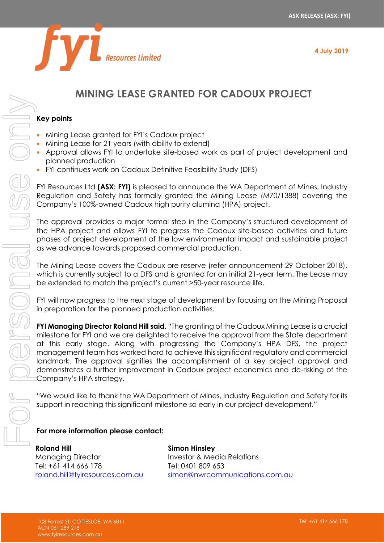

# **MINING LEASE GRANTED FOR CADOUX PROJECT**

### **Key points**

- Mining Lease granted for FYI's Cadoux project
- Mining Lease for 21 years (with ability to extend)
- Approval allows FYI to undertake site-based work as part of project development and planned production
- FYI continues work on Cadoux Definitive Feasibility Study (DFS)

FYI Resources Ltd **(ASX: FYI)** is pleased to announce the WA Department of Mines, Industry Regulation and Safety has formally granted the Mining Lease (M70/1388) covering the Company's 100%-owned Cadoux high purity alumina (HPA) project.

The approval provides a major formal step in the Company's structured development of the HPA project and allows FYI to progress the Cadoux site-based activities and future phases of project development of the low environmental impact and sustainable project as we advance towards proposed commercial production.

The Mining Lease covers the Cadoux ore reserve (refer announcement 29 October 2018), which is currently subject to a DFS and is granted for an initial 21-year term. The Lease may be extended to match the project's current >50-year resource life.

FYI will now progress to the next stage of development by focusing on the Mining Proposal in preparation for the planned production activities.

**FYI Managing Director Roland Hill said,** "The granting of the Cadoux Mining Lease is a crucial milestone for FYI and we are delighted to receive the approval from the State department at this early stage. Along with progressing the Company's HPA DFS, the project management team has worked hard to achieve this significant regulatory and commercial landmark. The approval signifies the accomplishment of a key project approval and demonstrates a further improvement in Cadoux project economics and de-risking of the Company's HPA strategy.

"We would like to thank the WA Department of Mines, Industry Regulation and Safety for its support in reaching this significant milestone so early in our project development."

## **For more information please contact:**

**Roland Hill** Managing Director Tel: +61 414 666 178 [roland.hill@fyiresources.com.au](mailto:roland.hill@fyiresources.com.au) **Simon Hinsley** Investor & Media Relations Tel: 0401 809 653 [simon@nwrcommunications.com.au](mailto:simon@nwrcommunications.com.au)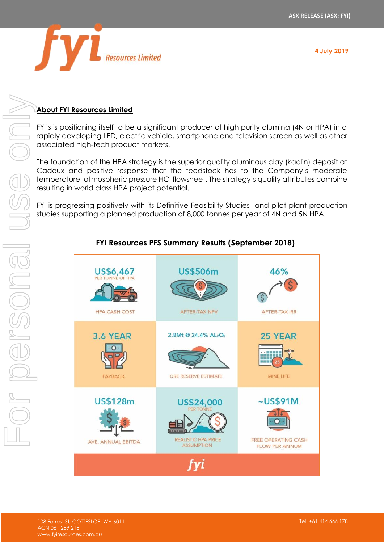

# **About FYI Resources Limited**

FYI's is positioning itself to be a significant producer of high purity alumina (4N or HPA) in a rapidly developing LED, electric vehicle, smartphone and television screen as well as other associated high-tech product markets. For personal use only

The foundation of the HPA strategy is the superior quality aluminous clay (kaolin) deposit at Cadoux and positive response that the feedstock has to the Company's moderate temperature, atmospheric pressure HCl flowsheet. The strategy's quality attributes combine resulting in world class HPA project potential.

FYI is progressing positively with its Definitive Feasibility Studies and pilot plant production studies supporting a planned production of 8,000 tonnes per year of 4N and 5N HPA.

# US\$6,467 **US\$506m** 46% **HPA CASH COST** AFTER-TAX NPV **AFTER-TAX IRR** 2.8Mt @ 24.4% AL2O3 **3.6 YEAR** 25 YEAR  $\Omega$ PAYBACK ORE RESERVE ESTIMATE MINE LIFE **US\$128m**  $\sim$ US\$91M US\$24,000 REALISTIC HPA PRICE **FREE OPERATING CASH** AVE, ANNUAL EBITDA **ASSUMPTION FLOW PER ANNUM** fvi

# **FYI Resources PFS Summary Results (September 2018)**

NSON<br>I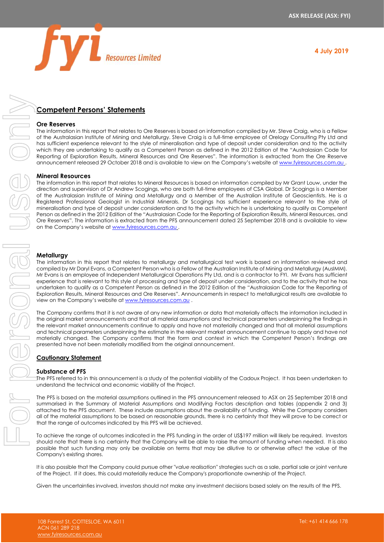

### **Competent Persons' Statements**

#### **Ore Reserves**

The information in this report that relates to Ore Reserves is based on information compiled by Mr. Steve Craig, who is a Fellow of the Australasian Institute of Mining and Metallurgy. Steve Craig is a full-time employee of Orelogy Consulting Pty Ltd and has sufficient experience relevant to the style of mineralisation and type of deposit under consideration and to the activity which they are undertaking to qualify as a Competent Person as defined in the 2012 Edition of the "Australasian Code for Reporting of Exploration Results, Mineral Resources and Ore Reserves". The information is extracted from the Ore Reserve announcement released 29 October 2018 and is available to view on the Company's website at [www.fyiresources.com.au](http://www.fyiresources.com.au/)

#### **Mineral Resources**

The information in this report that relates to Mineral Resources is based on information compiled by Mr Grant Louw, under the direction and supervision of Dr Andrew Scogings, who are both full-time employees of CSA Global. Dr Scogings is a Member of the Australasian Institute of Mining and Metallurgy and a Member of the Australian Institute of Geoscientists. He is a Registered Professional Geologist in Industrial Minerals. Dr Scogings has sufficient experience relevant to the style of mineralisation and type of deposit under consideration and to the activity which he is undertaking to qualify as Competent Person as defined in the 2012 Edition of the "Australasian Code for the Reporting of Exploration Results, Mineral Resources, and Ore Reserves". The information is extracted from the PFS announcement dated 25 September 2018 and is available to view on the Company's website at [www.fyiresources.com.au](http://www.fyiresources.com.au/) . Competent Persons: Statements<br>
The normalism the uncertainty of the uncertainty of the uncertainty of the uncertainty into the results of the results of the results of the results of the results of the results of the resu

#### **Metallurgy**

The information in this report that relates to metallurgy and metallurgical test work is based on information reviewed and compiled by Mr Daryl Evans, a Competent Person who is a Fellow of the Australian Institute of Mining and Metallurgy (AusIMM). Mr Evans is an employee of Independent Metallurgical Operations Pty Ltd, and is a contractor to FYI. Mr Evans has sufficient experience that is relevant to this style of processing and type of deposit under consideration, and to the activity that he has undertaken to qualify as a Competent Person as defined in the 2012 Edition of the "Australasian Code for the Reporting of Exploration Results, Mineral Resources and Ore Reserves". Announcements in respect to metallurgical results are available to view on the Company's website at [www.fyiresources.com.au](http://www.fyiresources.com.au/).

The Company confirms that it is not aware of any new information or data that materially affects the information included in the original market announcements and that all material assumptions and technical parameters underpinning the findings in the relevant market announcements continue to apply and have not materially changed and that all material assumptions and technical parameters underpinning the estimate in the relevant market announcement continue to apply and have not materially changed. The Company confirms that the form and context in which the Competent Person's findings are presented have not been materially modified from the original announcement.

#### **Cautionary Statement**

#### **Substance of PFS**

The PFS referred to in this announcement is a study of the potential viability of the Cadoux Project. It has been undertaken to understand the technical and economic viability of the Project.

The PFS is based on the material assumptions outlined in the PFS announcement released to ASX on 25 September 2018 and summarised in the Summary of Material Assumptions and Modifying Factors description and tables (appendix 2 and 3) attached to the PFS document. These include assumptions about the availability of funding. While the Company considers all of the material assumptions to be based on reasonable grounds, there is no certainty that they will prove to be correct or that the range of outcomes indicated by this PFS will be achieved.

To achieve the range of outcomes indicated in the PFS funding in the order of US\$197 million will likely be required. Investors should note that there is no certainty that the Company will be able to raise the amount of funding when needed. It is also possible that such funding may only be available on terms that may be dilutive to or otherwise affect the value of the Company's existing shares.

It is also possible that the Company could pursue other "*value realisation*" strategies such as a sale, partial sale or joint venture of the Project. If it does, this could materially reduce the Company's proportionate ownership of the Project.